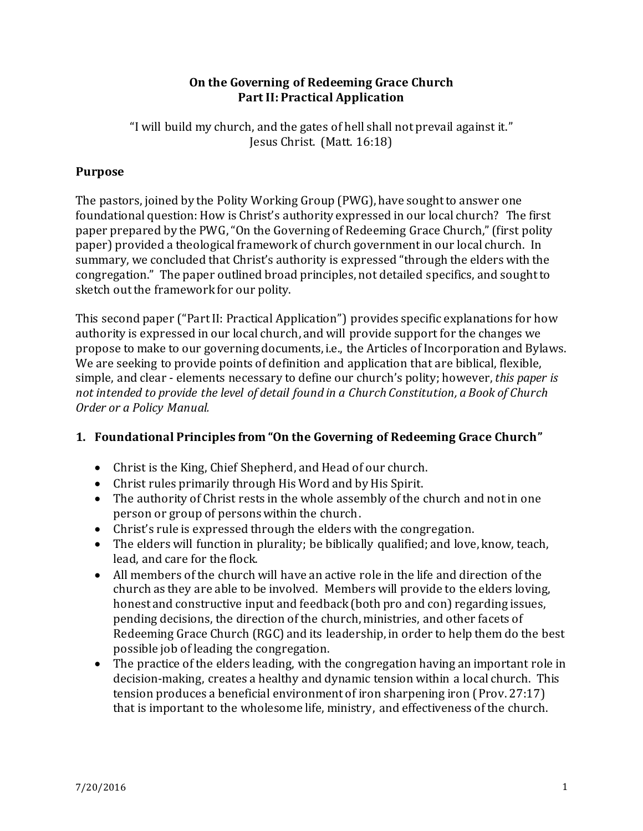#### **On the Governing of Redeeming Grace Church Part II: Practical Application**

"I will build my church, and the gates of hell shall not prevail against it." Jesus Christ. (Matt. 16:18)

### **Purpose**

The pastors, joined by the Polity Working Group (PWG), have sought to answer one foundational question: How is Christ's authority expressed in our local church? The first paper prepared by the PWG, "On the Governing of Redeeming Grace Church," (first polity paper) provided a theological framework of church government in our local church. In summary, we concluded that Christ's authority is expressed "through the elders with the congregation." The paper outlined broad principles, not detailed specifics, and sought to sketch out the framework for our polity.

This second paper ("Part II: Practical Application") provides specific explanations for how authority is expressed in our local church, and will provide support for the changes we propose to make to our governing documents, i.e., the Articles of Incorporation and Bylaws. We are seeking to provide points of definition and application that are biblical, flexible, simple, and clear - elements necessary to define our church's polity; however, *this paper is not intended to provide the level of detail found in a Church Constitution, a Book of Church Order or a Policy Manual.* 

### **1. Foundational Principles from "On the Governing of Redeeming Grace Church"**

- Christ is the King, Chief Shepherd, and Head of our church.
- Christ rules primarily through His Word and by His Spirit.
- The authority of Christ rests in the whole assembly of the church and not in one person or group of persons within the church.
- Christ's rule is expressed through the elders with the congregation.
- The elders will function in plurality; be biblically qualified; and love, know, teach, lead, and care for the flock.
- All members of the church will have an active role in the life and direction of the church as they are able to be involved. Members will provide to the elders loving, honest and constructive input and feedback (both pro and con) regarding issues, pending decisions, the direction of the church, ministries, and other facets of Redeeming Grace Church (RGC) and its leadership, in order to help them do the best possible job of leading the congregation.
- The practice of the elders leading, with the congregation having an important role in decision-making, creates a healthy and dynamic tension within a local church. This tension produces a beneficial environment of iron sharpening iron (Prov. 27:17) that is important to the wholesome life, ministry, and effectiveness of the church.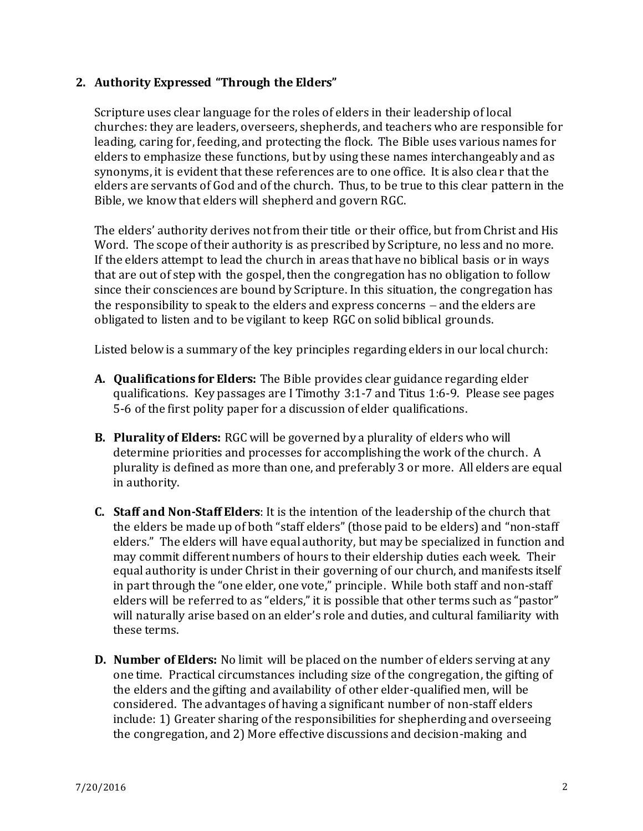#### **2. Authority Expressed "Through the Elders"**

Scripture uses clear language for the roles of elders in their leadership of local churches: they are leaders, overseers, shepherds, and teachers who are responsible for leading, caring for, feeding, and protecting the flock. The Bible uses various names for elders to emphasize these functions, but by using these names interchangeably and as synonyms, it is evident that these references are to one office. It is also clear that the elders are servants of God and of the church. Thus, to be true to this clear pattern in the Bible, we know that elders will shepherd and govern RGC.

The elders' authority derives not from their title or their office, but from Christ and His Word. The scope of their authority is as prescribed by Scripture, no less and no more. If the elders attempt to lead the church in areas that have no biblical basis or in ways that are out of step with the gospel, then the congregation has no obligation to follow since their consciences are bound by Scripture. In this situation, the congregation has the responsibility to speak to the elders and express concerns  $-$  and the elders are obligated to listen and to be vigilant to keep RGC on solid biblical grounds.

Listed below is a summary of the key principles regarding elders in our local church:

- **A. Qualifications for Elders:** The Bible provides clear guidance regarding elder qualifications. Key passages are I Timothy 3:1-7 and Titus 1:6-9. Please see pages 5-6 of the first polity paper for a discussion of elder qualifications.
- **B. Plurality of Elders:** RGC will be governed by a plurality of elders who will determine priorities and processes for accomplishing the work of the church. A plurality is defined as more than one, and preferably 3 or more. All elders are equal in authority.
- **C. Staff and Non-Staff Elders**: It is the intention of the leadership of the church that the elders be made up of both "staff elders" (those paid to be elders) and "non-staff elders." The elders will have equal authority, but may be specialized in function and may commit different numbers of hours to their eldership duties each week. Their equal authority is under Christ in their governing of our church, and manifests itself in part through the "one elder, one vote," principle. While both staff and non-staff elders will be referred to as "elders," it is possible that other terms such as "pastor" will naturally arise based on an elder's role and duties, and cultural familiarity with these terms.
- **D. Number of Elders:** No limit will be placed on the number of elders serving at any one time. Practical circumstances including size of the congregation, the gifting of the elders and the gifting and availability of other elder-qualified men, will be considered. The advantages of having a significant number of non-staff elders include: 1) Greater sharing of the responsibilities for shepherding and overseeing the congregation, and 2) More effective discussions and decision-making and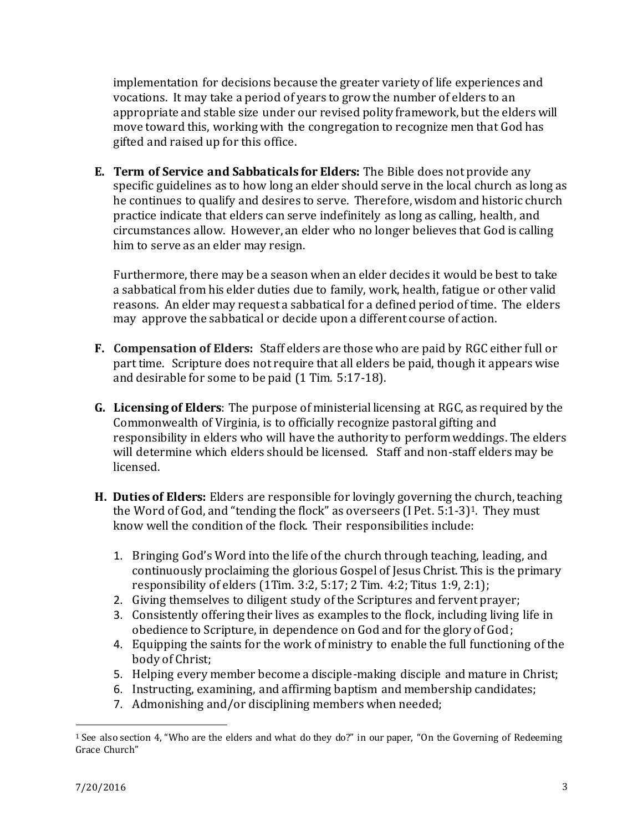implementation for decisions because the greater variety of life experiences and vocations. It may take a period of years to grow the number of elders to an appropriate and stable size under our revised polity framework, but the elders will move toward this, working with the congregation to recognize men that God has gifted and raised up for this office.

**E. Term of Service and Sabbaticals for Elders:** The Bible does not provide any specific guidelines as to how long an elder should serve in the local church as long as he continues to qualify and desires to serve. Therefore, wisdom and historic church practice indicate that elders can serve indefinitely as long as calling, health, and circumstances allow. However, an elder who no longer believes that God is calling him to serve as an elder may resign.

Furthermore, there may be a season when an elder decides it would be best to take a sabbatical from his elder duties due to family, work, health, fatigue or other valid reasons. An elder may request a sabbatical for a defined period of time. The elders may approve the sabbatical or decide upon a different course of action.

- **F. Compensation of Elders:** Staff elders are those who are paid by RGC either full or part time. Scripture does not require that all elders be paid, though it appears wise and desirable for some to be paid (1 Tim. 5:17-18).
- **G. Licensing of Elders**: The purpose of ministerial licensing at RGC, as required by the Commonwealth of Virginia, is to officially recognize pastoral gifting and responsibility in elders who will have the authority to perform weddings. The elders will determine which elders should be licensed. Staff and non-staff elders may be licensed.
- **H. Duties of Elders:** Elders are responsible for lovingly governing the church, teaching the Word of God, and "tending the flock" as overseers  $(I$  Pet.  $5:1-3$ <sup>1</sup>. They must know well the condition of the flock. Their responsibilities include:
	- 1. Bringing God's Word into the life of the church through teaching, leading, and continuously proclaiming the glorious Gospel of Jesus Christ. This is the primary responsibility of elders (1Tim. 3:2, 5:17; 2 Tim. 4:2; Titus 1:9, 2:1);
	- 2. Giving themselves to diligent study of the Scriptures and fervent prayer;
	- 3. Consistently offering their lives as examples to the flock, including living life in obedience to Scripture, in dependence on God and for the glory of God;
	- 4. Equipping the saints for the work of ministry to enable the full functioning of the body of Christ;
	- 5. Helping every member become a disciple-making disciple and mature in Christ;
	- 6. Instructing, examining, and affirming baptism and membership candidates;
	- 7. Admonishing and/or disciplining members when needed;

 $\overline{a}$ 

<sup>1</sup> See also section 4, "Who are the elders and what do they do?" in our paper, "On the Governing of Redeeming Grace Church"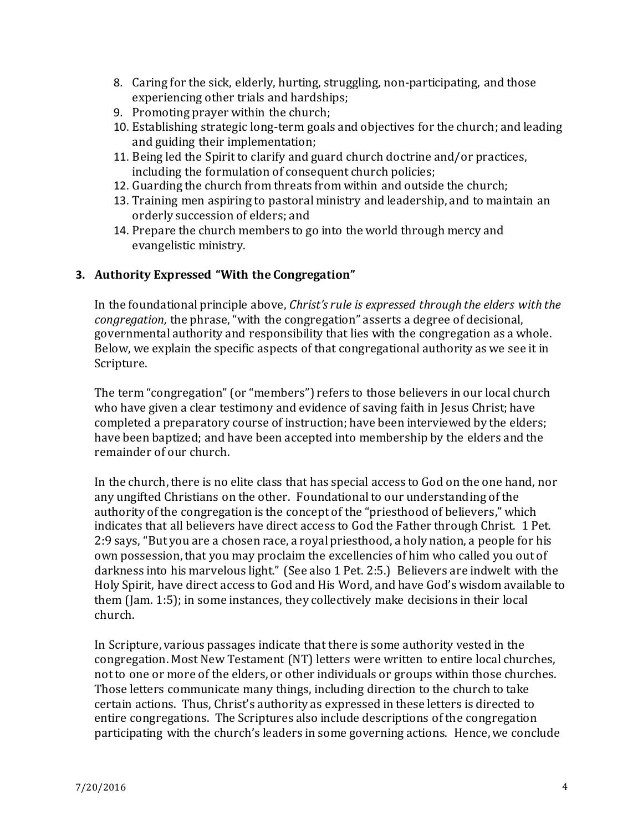- 8. Caring for the sick, elderly, hurting, struggling, non-participating, and those experiencing other trials and hardships;
- 9. Promoting prayer within the church;
- 10. Establishing strategic long-term goals and objectives for the church; and leading and guiding their implementation;
- 11. Being led the Spirit to clarify and guard church doctrine and/or practices, including the formulation of consequent church policies;
- 12. Guarding the church from threats from within and outside the church;
- 13. Training men aspiring to pastoral ministry and leadership, and to maintain an orderly succession of elders; and
- 14. Prepare the church members to go into the world through mercy and evangelistic ministry.

### **3. Authority Expressed "With the Congregation"**

In the foundational principle above, *Christ's rule is expressed through the elders with the congregation,* the phrase, "with the congregation" asserts a degree of decisional, governmental authority and responsibility that lies with the congregation as a whole. Below, we explain the specific aspects of that congregational authority as we see it in Scripture.

The term "congregation" (or "members") refers to those believers in our local church who have given a clear testimony and evidence of saving faith in Jesus Christ; have completed a preparatory course of instruction; have been interviewed by the elders; have been baptized; and have been accepted into membership by the elders and the remainder of our church.

In the church, there is no elite class that has special access to God on the one hand, nor any ungifted Christians on the other. Foundational to our understanding of the authority of the congregation is the concept of the "priesthood of believers," which indicates that all believers have direct access to God the Father through Christ. 1 Pet. 2:9 says, "But you are a chosen race, a royal priesthood, a holy nation, a people for his own possession, that you may proclaim the excellencies of him who called you out of darkness into his marvelous light." (See also 1 Pet. 2:5.) Believers are indwelt with the Holy Spirit, have direct access to God and His Word, and have God's wisdom available to them (Jam. 1:5); in some instances, they collectively make decisions in their local church.

In Scripture, various passages indicate that there is some authority vested in the congregation. Most New Testament (NT) letters were written to entire local churches, not to one or more of the elders, or other individuals or groups within those churches. Those letters communicate many things, including direction to the church to take certain actions. Thus, Christ's authority as expressed in these letters is directed to entire congregations. The Scriptures also include descriptions of the congregation participating with the church's leaders in some governing actions. Hence, we conclude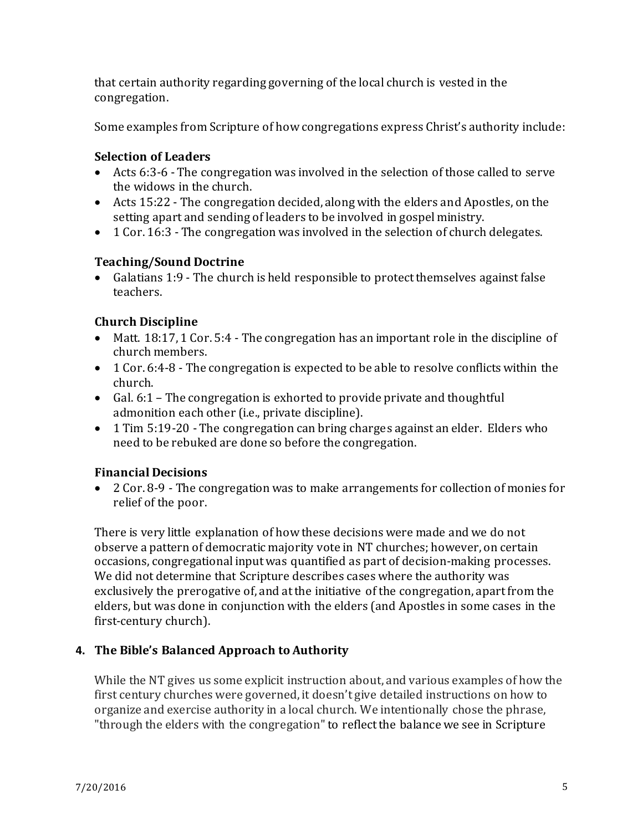that certain authority regarding governing of the local church is vested in the congregation.

Some examples from Scripture of how congregations express Christ's authority include:

## **Selection of Leaders**

- Acts 6:3-6 The congregation was involved in the selection of those called to serve the widows in the church.
- Acts 15:22 The congregation decided, along with the elders and Apostles, on the setting apart and sending of leaders to be involved in gospel ministry.
- 1 Cor. 16:3 The congregation was involved in the selection of church delegates.

## **Teaching/Sound Doctrine**

 Galatians 1:9 - The church is held responsible to protect themselves against false teachers.

# **Church Discipline**

- Matt. 18:17, 1 Cor. 5:4 The congregation has an important role in the discipline of church members.
- 1 Cor. 6:4-8 The congregation is expected to be able to resolve conflicts within the church.
- Gal.  $6:1$  The congregation is exhorted to provide private and thoughtful admonition each other (i.e., private discipline).
- 1 Tim 5:19-20 The congregation can bring charges against an elder. Elders who need to be rebuked are done so before the congregation.

# **Financial Decisions**

 2 Cor. 8-9 - The congregation was to make arrangements for collection of monies for relief of the poor.

There is very little explanation of how these decisions were made and we do not observe a pattern of democratic majority vote in NT churches; however, on certain occasions, congregational input was quantified as part of decision-making processes. We did not determine that Scripture describes cases where the authority was exclusively the prerogative of, and at the initiative of the congregation, apart from the elders, but was done in conjunction with the elders (and Apostles in some cases in the first-century church).

# **4. The Bible's Balanced Approach to Authority**

While the NT gives us some explicit instruction about, and various examples of how the first century churches were governed, it doesn't give detailed instructions on how to organize and exercise authority in a local church. We intentionally chose the phrase, "through the elders with the congregation" to reflect the balance we see in Scripture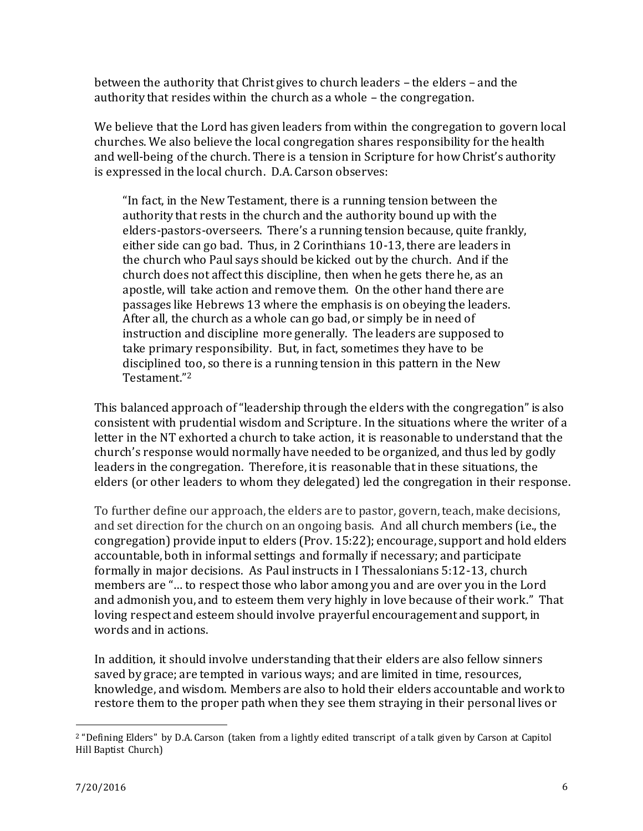between the authority that Christ gives to church leaders – the elders – and the authority that resides within the church as a whole – the congregation.

We believe that the Lord has given leaders from within the congregation to govern local churches. We also believe the local congregation shares responsibility for the health and well-being of the church. There is a tension in Scripture for how Christ's authority is expressed in the local church. D.A. Carson observes:

"In fact, in the New Testament, there is a running tension between the authority that rests in the church and the authority bound up with the elders-pastors-overseers. There's a running tension because, quite frankly, either side can go bad. Thus, in 2 Corinthians 10-13, there are leaders in the church who Paul says should be kicked out by the church. And if the church does not affect this discipline, then when he gets there he, as an apostle, will take action and remove them. On the other hand there are passages like Hebrews 13 where the emphasis is on obeying the leaders. After all, the church as a whole can go bad, or simply be in need of instruction and discipline more generally. The leaders are supposed to take primary responsibility. But, in fact, sometimes they have to be disciplined too, so there is a running tension in this pattern in the New Testament." 2

This balanced approach of "leadership through the elders with the congregation" is also consistent with prudential wisdom and Scripture. In the situations where the writer of a letter in the NT exhorted a church to take action, it is reasonable to understand that the church's response would normally have needed to be organized, and thus led by godly leaders in the congregation. Therefore, it is reasonable that in these situations, the elders (or other leaders to whom they delegated) led the congregation in their response.

To further define our approach, the elders are to pastor, govern, teach, make decisions, and set direction for the church on an ongoing basis. And all church members (i.e., the congregation) provide input to elders (Prov. 15:22); encourage, support and hold elders accountable, both in informal settings and formally if necessary; and participate formally in major decisions. As Paul instructs in I Thessalonians 5:12-13, church members are "… to respect those who labor among you and are over you in the Lord and admonish you, and to esteem them very highly in love because of their work." That loving respect and esteem should involve prayerful encouragement and support, in words and in actions.

In addition, it should involve understanding that their elders are also fellow sinners saved by grace; are tempted in various ways; and are limited in time, resources, knowledge, and wisdom. Members are also to hold their elders accountable and work to restore them to the proper path when they see them straying in their personal lives or

 $\overline{a}$ 

<sup>2</sup> "Defining Elders" by D.A. Carson (taken from a lightly edited transcript of a talk given by Carson at Capitol Hill Baptist Church)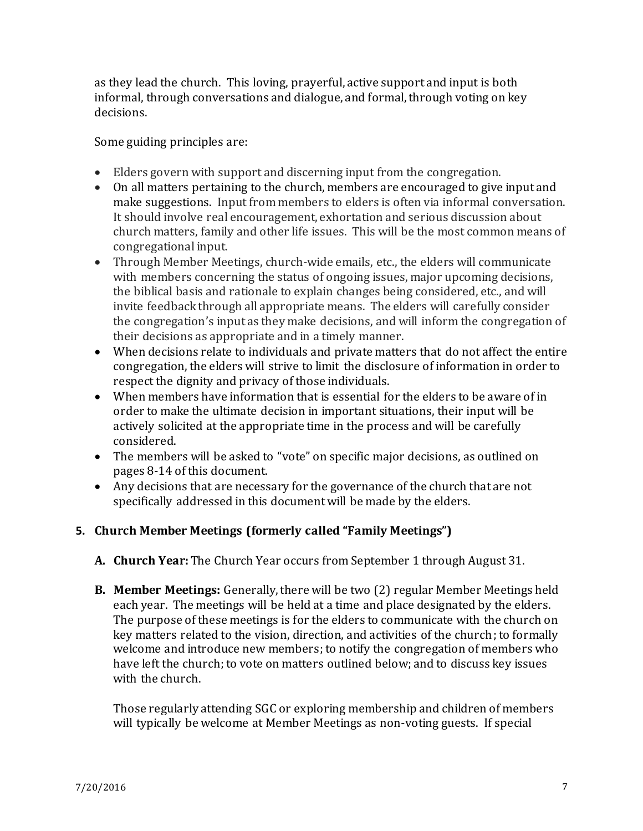as they lead the church. This loving, prayerful, active support and input is both informal, through conversations and dialogue, and formal, through voting on key decisions.

Some guiding principles are:

- Elders govern with support and discerning input from the congregation.
- On all matters pertaining to the church, members are encouraged to give input and make suggestions. Input from members to elders is often via informal conversation. It should involve real encouragement, exhortation and serious discussion about church matters, family and other life issues. This will be the most common means of congregational input.
- Through Member Meetings, church-wide emails, etc., the elders will communicate with members concerning the status of ongoing issues, major upcoming decisions, the biblical basis and rationale to explain changes being considered, etc., and will invite feedback through all appropriate means. The elders will carefully consider the congregation's input as they make decisions, and will inform the congregation of their decisions as appropriate and in a timely manner.
- When decisions relate to individuals and private matters that do not affect the entire congregation, the elders will strive to limit the disclosure of information in order to respect the dignity and privacy of those individuals.
- When members have information that is essential for the elders to be aware of in order to make the ultimate decision in important situations, their input will be actively solicited at the appropriate time in the process and will be carefully considered.
- The members will be asked to "vote" on specific major decisions, as outlined on pages 8-14 of this document.
- Any decisions that are necessary for the governance of the church that are not specifically addressed in this document will be made by the elders.

### **5. Church Member Meetings (formerly called "Family Meetings")**

- **A. Church Year:** The Church Year occurs from September 1 through August 31.
- **B. Member Meetings:** Generally, there will be two (2) regular Member Meetings held each year. The meetings will be held at a time and place designated by the elders. The purpose of these meetings is for the elders to communicate with the church on key matters related to the vision, direction, and activities of the church; to formally welcome and introduce new members; to notify the congregation of members who have left the church; to vote on matters outlined below; and to discuss key issues with the church.

Those regularly attending SGC or exploring membership and children of members will typically be welcome at Member Meetings as non-voting guests. If special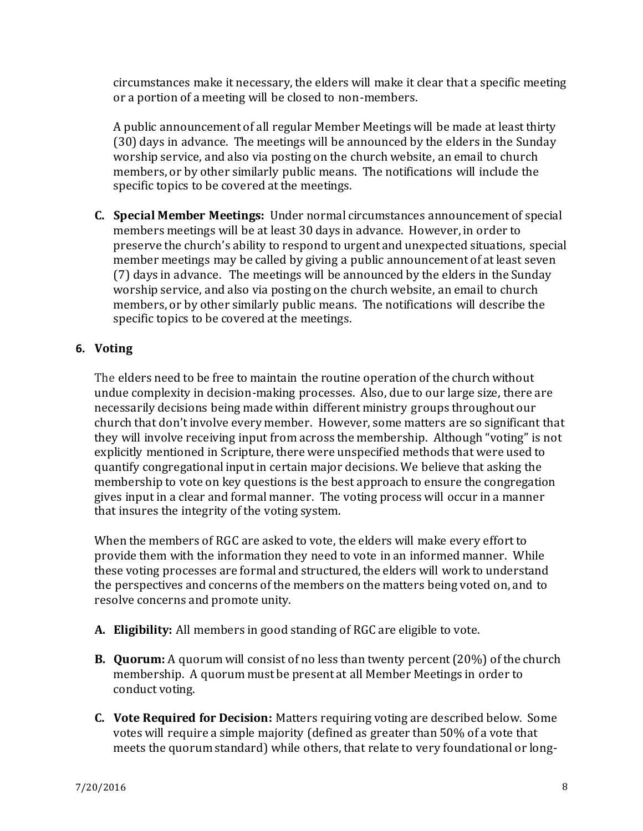circumstances make it necessary, the elders will make it clear that a specific meeting or a portion of a meeting will be closed to non-members.

A public announcement of all regular Member Meetings will be made at least thirty (30) days in advance. The meetings will be announced by the elders in the Sunday worship service, and also via posting on the church website, an email to church members, or by other similarly public means. The notifications will include the specific topics to be covered at the meetings.

**C. Special Member Meetings:** Under normal circumstances announcement of special members meetings will be at least 30 days in advance. However, in order to preserve the church's ability to respond to urgent and unexpected situations, special member meetings may be called by giving a public announcement of at least seven (7) days in advance. The meetings will be announced by the elders in the Sunday worship service, and also via posting on the church website, an email to church members, or by other similarly public means. The notifications will describe the specific topics to be covered at the meetings.

### **6. Voting**

The elders need to be free to maintain the routine operation of the church without undue complexity in decision-making processes. Also, due to our large size, there are necessarily decisions being made within different ministry groups throughout our church that don't involve every member. However, some matters are so significant that they will involve receiving input from across the membership. Although "voting" is not explicitly mentioned in Scripture, there were unspecified methods that were used to quantify congregational input in certain major decisions. We believe that asking the membership to vote on key questions is the best approach to ensure the congregation gives input in a clear and formal manner. The voting process will occur in a manner that insures the integrity of the voting system.

When the members of RGC are asked to vote, the elders will make every effort to provide them with the information they need to vote in an informed manner. While these voting processes are formal and structured, the elders will work to understand the perspectives and concerns of the members on the matters being voted on, and to resolve concerns and promote unity.

- **A. Eligibility:** All members in good standing of RGC are eligible to vote.
- **B. Quorum:** A quorum will consist of no less than twenty percent (20%) of the church membership. A quorum must be present at all Member Meetings in order to conduct voting.
- **C. Vote Required for Decision:** Matters requiring voting are described below. Some votes will require a simple majority (defined as greater than 50% of a vote that meets the quorum standard) while others, that relate to very foundational or long-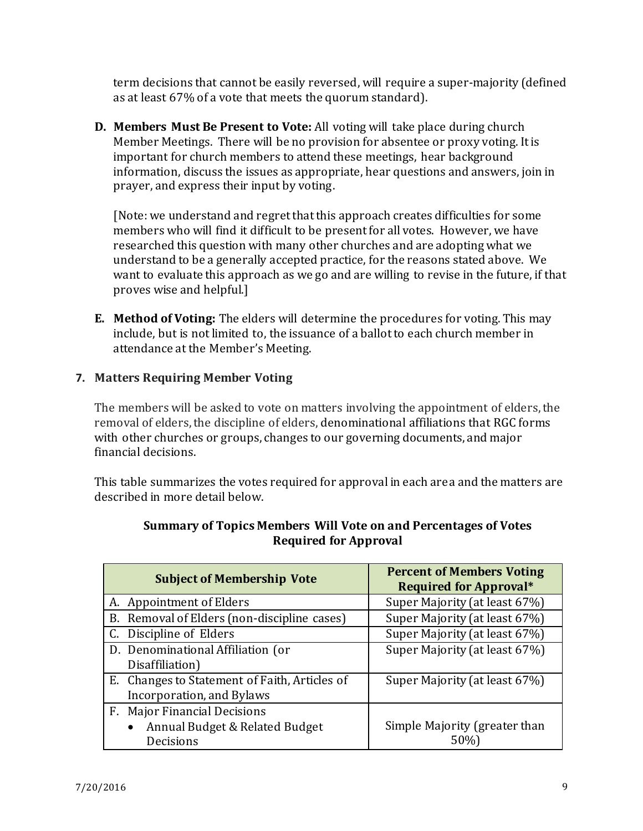term decisions that cannot be easily reversed, will require a super-majority (defined as at least 67% of a vote that meets the quorum standard).

**D. Members Must Be Present to Vote:** All voting will take place during church Member Meetings. There will be no provision for absentee or proxy voting. It is important for church members to attend these meetings, hear background information, discuss the issues as appropriate, hear questions and answers, join in prayer, and express their input by voting.

[Note: we understand and regret that this approach creates difficulties for some members who will find it difficult to be present for all votes. However, we have researched this question with many other churches and are adopting what we understand to be a generally accepted practice, for the reasons stated above. We want to evaluate this approach as we go and are willing to revise in the future, if that proves wise and helpful.]

**E. Method of Voting:** The elders will determine the procedures for voting. This may include, but is not limited to, the issuance of a ballot to each church member in attendance at the Member's Meeting.

### **7. Matters Requiring Member Voting**

The members will be asked to vote on matters involving the appointment of elders, the removal of elders, the discipline of elders, denominational affiliations that RGC forms with other churches or groups, changes to our governing documents, and major financial decisions.

This table summarizes the votes required for approval in each area and the matters are described in more detail below.

| <b>Subject of Membership Vote</b>             | <b>Percent of Members Voting</b><br><b>Required for Approval*</b> |
|-----------------------------------------------|-------------------------------------------------------------------|
| A. Appointment of Elders                      | Super Majority (at least 67%)                                     |
| B. Removal of Elders (non-discipline cases)   | Super Majority (at least 67%)                                     |
| C. Discipline of Elders                       | Super Majority (at least 67%)                                     |
| D. Denominational Affiliation (or             | Super Majority (at least 67%)                                     |
| Disaffiliation)                               |                                                                   |
| E. Changes to Statement of Faith, Articles of | Super Majority (at least 67%)                                     |
| Incorporation, and Bylaws                     |                                                                   |
| F. Major Financial Decisions                  |                                                                   |
| Annual Budget & Related Budget                | Simple Majority (greater than                                     |
| Decisions                                     | $50\%$                                                            |

#### **Summary of Topics Members Will Vote on and Percentages of Votes Required for Approval**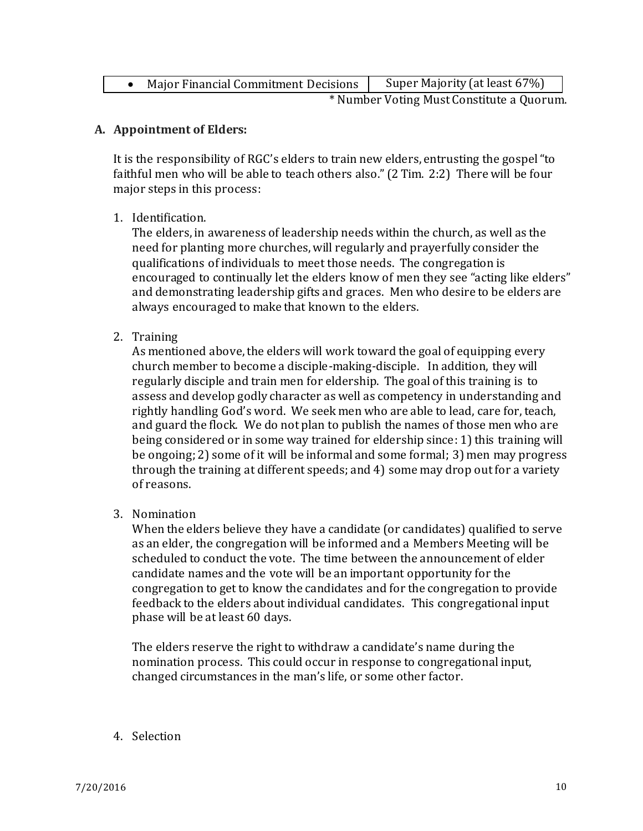| Major Financial Commitment Decisions      | Super Majority (at least 67%) |
|-------------------------------------------|-------------------------------|
| * Number Voting Must Constitute a Quorum. |                               |

#### **A. Appointment of Elders:**

It is the responsibility of RGC's elders to train new elders, entrusting the gospel "to faithful men who will be able to teach others also." (2 Tim. 2:2) There will be four major steps in this process:

1. Identification.

The elders, in awareness of leadership needs within the church, as well as the need for planting more churches, will regularly and prayerfully consider the qualifications of individuals to meet those needs. The congregation is encouraged to continually let the elders know of men they see "acting like elders" and demonstrating leadership gifts and graces. Men who desire to be elders are always encouraged to make that known to the elders.

2. Training

As mentioned above, the elders will work toward the goal of equipping every church member to become a disciple-making-disciple. In addition, they will regularly disciple and train men for eldership. The goal of this training is to assess and develop godly character as well as competency in understanding and rightly handling God's word. We seek men who are able to lead, care for, teach, and guard the flock. We do not plan to publish the names of those men who are being considered or in some way trained for eldership since: 1) this training will be ongoing; 2) some of it will be informal and some formal; 3) men may progress through the training at different speeds; and 4) some may drop out for a variety of reasons.

3. Nomination

When the elders believe they have a candidate (or candidates) qualified to serve as an elder, the congregation will be informed and a Members Meeting will be scheduled to conduct the vote. The time between the announcement of elder candidate names and the vote will be an important opportunity for the congregation to get to know the candidates and for the congregation to provide feedback to the elders about individual candidates. This congregational input phase will be at least 60 days.

The elders reserve the right to withdraw a candidate's name during the nomination process. This could occur in response to congregational input, changed circumstances in the man's life, or some other factor.

#### 4. Selection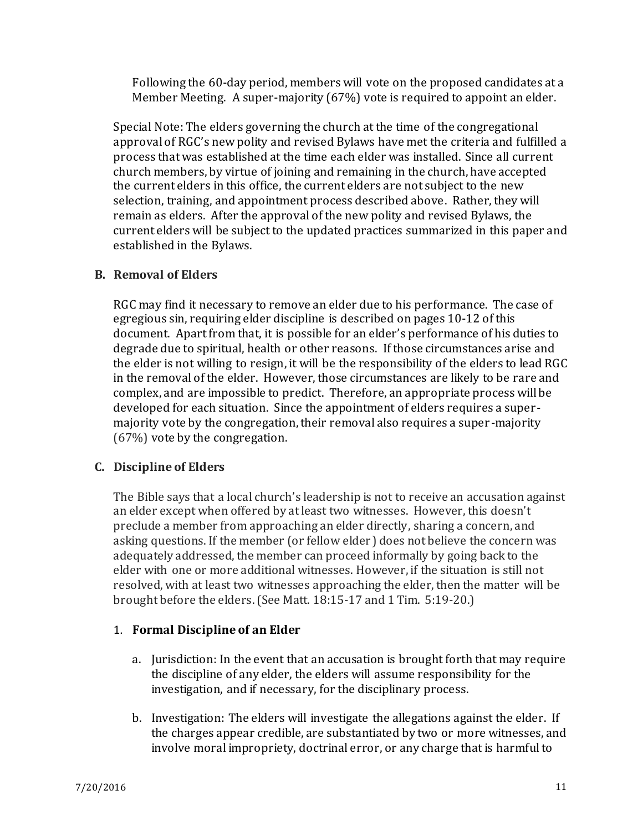Following the 60-day period, members will vote on the proposed candidates at a Member Meeting. A super-majority (67%) vote is required to appoint an elder.

Special Note: The elders governing the church at the time of the congregational approval of RGC's new polity and revised Bylaws have met the criteria and fulfilled a process that was established at the time each elder was installed. Since all current church members, by virtue of joining and remaining in the church, have accepted the current elders in this office, the current elders are not subject to the new selection, training, and appointment process described above. Rather, they will remain as elders. After the approval of the new polity and revised Bylaws, the current elders will be subject to the updated practices summarized in this paper and established in the Bylaws.

#### **B. Removal of Elders**

RGC may find it necessary to remove an elder due to his performance. The case of egregious sin, requiring elder discipline is described on pages 10-12 of this document. Apart from that, it is possible for an elder's performance of his duties to degrade due to spiritual, health or other reasons. If those circumstances arise and the elder is not willing to resign, it will be the responsibility of the elders to lead RGC in the removal of the elder. However, those circumstances are likely to be rare and complex, and are impossible to predict. Therefore, an appropriate process will be developed for each situation. Since the appointment of elders requires a supermajority vote by the congregation, their removal also requires a super-majority (67%) vote by the congregation.

### **C. Discipline of Elders**

The Bible says that a local church's leadership is not to receive an accusation against an elder except when offered by at least two witnesses. However, this doesn't preclude a member from approaching an elder directly, sharing a concern, and asking questions. If the member (or fellow elder) does not believe the concern was adequately addressed, the member can proceed informally by going back to the elder with one or more additional witnesses. However, if the situation is still not resolved, with at least two witnesses approaching the elder, then the matter will be brought before the elders. (See Matt. 18:15-17 and 1 Tim. 5:19-20.)

### 1. **Formal Discipline of an Elder**

- a. Jurisdiction: In the event that an accusation is brought forth that may require the discipline of any elder, the elders will assume responsibility for the investigation, and if necessary, for the disciplinary process.
- b. Investigation: The elders will investigate the allegations against the elder. If the charges appear credible, are substantiated by two or more witnesses, and involve moral impropriety, doctrinal error, or any charge that is harmful to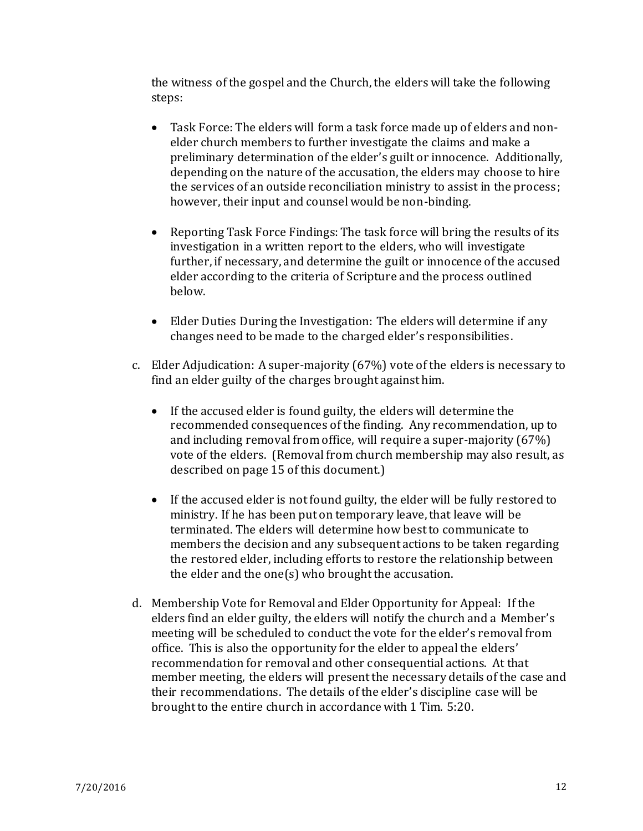the witness of the gospel and the Church, the elders will take the following steps:

- Task Force: The elders will form a task force made up of elders and nonelder church members to further investigate the claims and make a preliminary determination of the elder's guilt or innocence. Additionally, depending on the nature of the accusation, the elders may choose to hire the services of an outside reconciliation ministry to assist in the process ; however, their input and counsel would be non-binding.
- Reporting Task Force Findings: The task force will bring the results of its investigation in a written report to the elders, who will investigate further, if necessary, and determine the guilt or innocence of the accused elder according to the criteria of Scripture and the process outlined below.
- Elder Duties During the Investigation: The elders will determine if any changes need to be made to the charged elder's responsibilities.
- c. Elder Adjudication: A super-majority (67%) vote of the elders is necessary to find an elder guilty of the charges brought against him.
	- If the accused elder is found guilty, the elders will determine the recommended consequences of the finding. Any recommendation, up to and including removal from office, will require a super-majority (67%) vote of the elders. (Removal from church membership may also result, as described on page 15 of this document.)
	- If the accused elder is not found guilty, the elder will be fully restored to ministry. If he has been put on temporary leave, that leave will be terminated. The elders will determine how best to communicate to members the decision and any subsequent actions to be taken regarding the restored elder, including efforts to restore the relationship between the elder and the one(s) who brought the accusation.
- d. Membership Vote for Removal and Elder Opportunity for Appeal: If the elders find an elder guilty, the elders will notify the church and a Member's meeting will be scheduled to conduct the vote for the elder's removal from office. This is also the opportunity for the elder to appeal the elders' recommendation for removal and other consequential actions. At that member meeting, the elders will present the necessary details of the case and their recommendations. The details of the elder's discipline case will be brought to the entire church in accordance with 1 Tim. 5:20.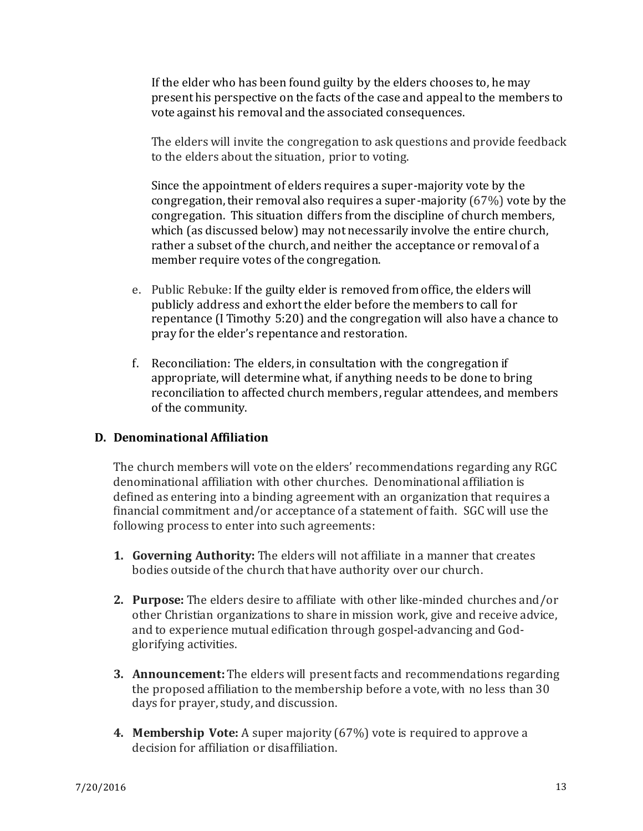If the elder who has been found guilty by the elders chooses to, he may present his perspective on the facts of the case and appeal to the members to vote against his removal and the associated consequences.

The elders will invite the congregation to ask questions and provide feedback to the elders about the situation, prior to voting.

Since the appointment of elders requires a super-majority vote by the congregation, their removal also requires a super-majority (67%) vote by the congregation. This situation differs from the discipline of church members, which (as discussed below) may not necessarily involve the entire church, rather a subset of the church, and neither the acceptance or removal of a member require votes of the congregation.

- e. Public Rebuke: If the guilty elder is removed from office, the elders will publicly address and exhort the elder before the members to call for repentance (I Timothy 5:20) and the congregation will also have a chance to pray for the elder's repentance and restoration.
- f. Reconciliation: The elders, in consultation with the congregation if appropriate, will determine what, if anything needs to be done to bring reconciliation to affected church members, regular attendees, and members of the community.

#### **D. Denominational Affiliation**

The church members will vote on the elders' recommendations regarding any RGC denominational affiliation with other churches. Denominational affiliation is defined as entering into a binding agreement with an organization that requires a financial commitment and/or acceptance of a statement of faith. SGC will use the following process to enter into such agreements:

- **1. Governing Authority:** The elders will not affiliate in a manner that creates bodies outside of the church that have authority over our church.
- **2. Purpose:** The elders desire to affiliate with other like-minded churches and/or other Christian organizations to share in mission work, give and receive advice, and to experience mutual edification through gospel-advancing and Godglorifying activities.
- **3. Announcement:** The elders will present facts and recommendations regarding the proposed affiliation to the membership before a vote, with no less than 30 days for prayer, study, and discussion.
- **4. Membership Vote:** A super majority (67%) vote is required to approve a decision for affiliation or disaffiliation.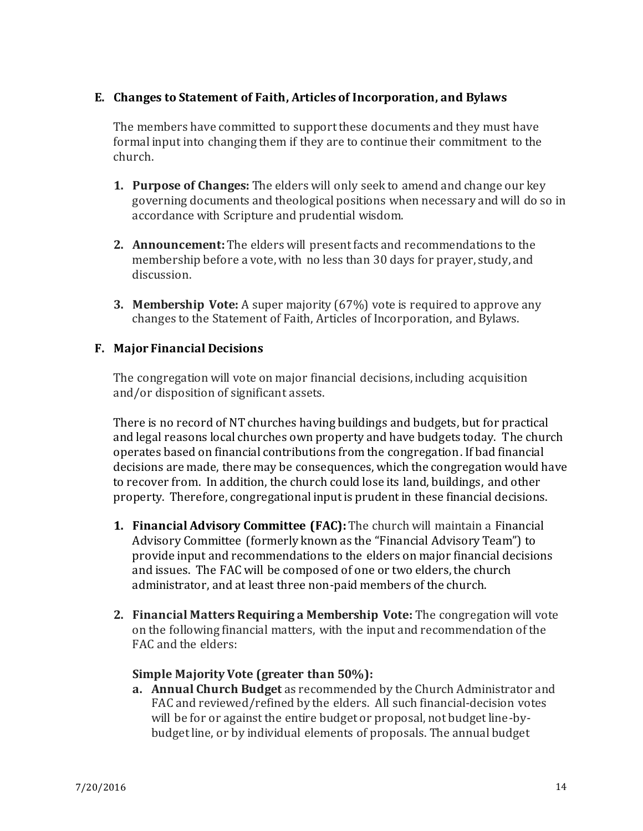#### **E. Changes to Statement of Faith, Articles of Incorporation, and Bylaws**

The members have committed to support these documents and they must have formal input into changing them if they are to continue their commitment to the church.

- **1. Purpose of Changes:** The elders will only seek to amend and change our key governing documents and theological positions when necessary and will do so in accordance with Scripture and prudential wisdom.
- **2. Announcement:** The elders will present facts and recommendations to the membership before a vote, with no less than 30 days for prayer, study, and discussion.
- **3. Membership Vote:** A super majority (67%) vote is required to approve any changes to the Statement of Faith, Articles of Incorporation, and Bylaws.

#### **F. Major Financial Decisions**

The congregation will vote on major financial decisions, including acquisition and/or disposition of significant assets.

There is no record of NT churches having buildings and budgets, but for practical and legal reasons local churches own property and have budgets today. The church operates based on financial contributions from the congregation. If bad financial decisions are made, there may be consequences, which the congregation would have to recover from. In addition, the church could lose its land, buildings, and other property. Therefore, congregational input is prudent in these financial decisions.

- **1. Financial Advisory Committee (FAC):** The church will maintain a Financial Advisory Committee (formerly known as the "Financial Advisory Team") to provide input and recommendations to the elders on major financial decisions and issues. The FAC will be composed of one or two elders, the church administrator, and at least three non-paid members of the church.
- **2. Financial Matters Requiring a Membership Vote:** The congregation will vote on the following financial matters, with the input and recommendation of the FAC and the elders:

#### **Simple Majority Vote (greater than 50%):**

**a. Annual Church Budget** as recommended by the Church Administrator and FAC and reviewed/refined by the elders. All such financial-decision votes will be for or against the entire budget or proposal, not budget line-bybudget line, or by individual elements of proposals. The annual budget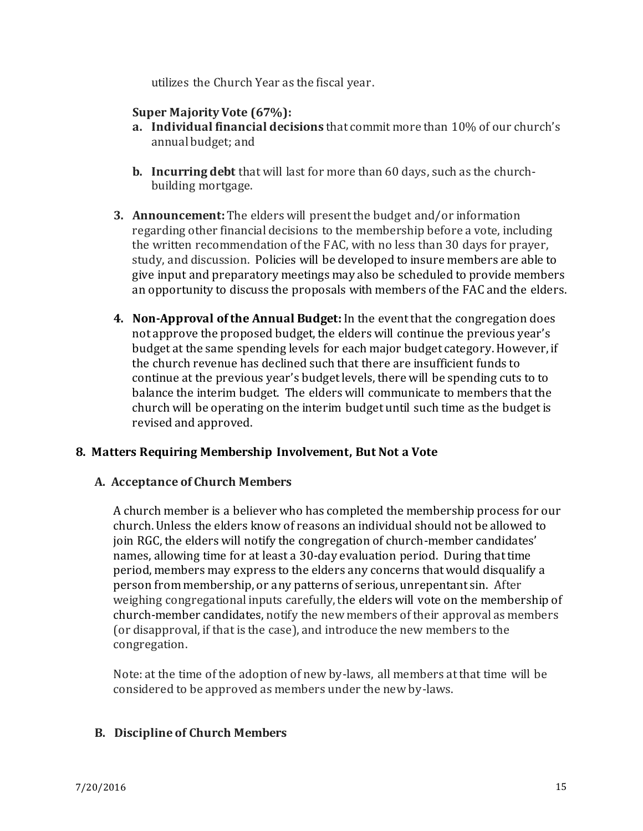utilizes the Church Year as the fiscal year.

#### **Super Majority Vote (67%):**

- **a. Individual financial decisions** that commit more than 10% of our church's annual budget; and
- **b. Incurring debt** that will last for more than 60 days, such as the churchbuilding mortgage.
- **3. Announcement:** The elders will present the budget and/or information regarding other financial decisions to the membership before a vote, including the written recommendation of the FAC, with no less than 30 days for prayer, study, and discussion. Policies will be developed to insure members are able to give input and preparatory meetings may also be scheduled to provide members an opportunity to discuss the proposals with members of the FAC and the elders.
- **4. Non-Approval of the Annual Budget:** In the event that the congregation does not approve the proposed budget, the elders will continue the previous year's budget at the same spending levels for each major budget category. However, if the church revenue has declined such that there are insufficient funds to continue at the previous year's budget levels, there will be spending cuts to to balance the interim budget. The elders will communicate to members that the church will be operating on the interim budget until such time as the budget is revised and approved.

### **8. Matters Requiring Membership Involvement, But Not a Vote**

#### **A. Acceptance of Church Members**

A church member is a believer who has completed the membership process for our church. Unless the elders know of reasons an individual should not be allowed to join RGC, the elders will notify the congregation of church-member candidates' names, allowing time for at least a 30-day evaluation period. During that time period, members may express to the elders any concerns that would disqualify a person from membership, or any patterns of serious, unrepentant sin. After weighing congregational inputs carefully, the elders will vote on the membership of church-member candidates, notify the new members of their approval as members (or disapproval, if that is the case), and introduce the new members to the congregation.

Note: at the time of the adoption of new by-laws, all members at that time will be considered to be approved as members under the new by-laws.

#### **B. Discipline of Church Members**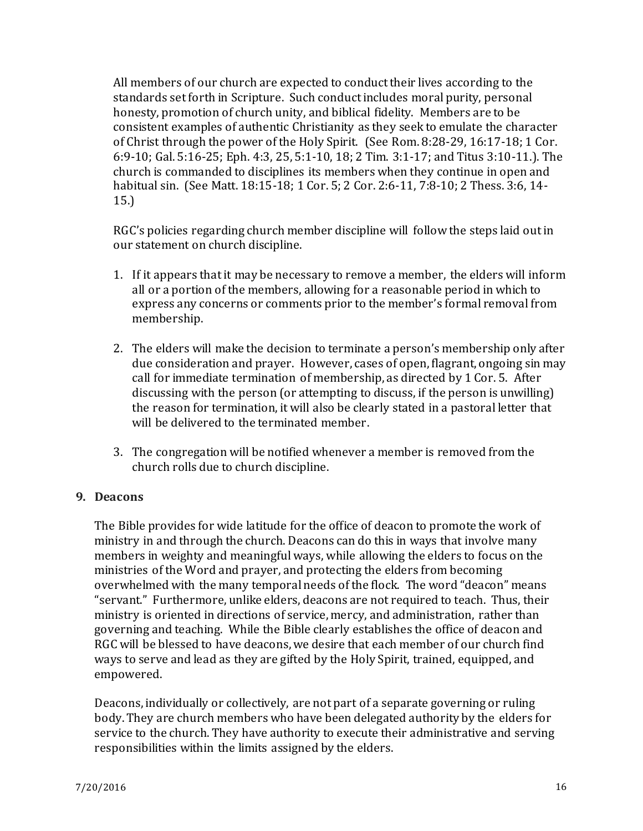All members of our church are expected to conduct their lives according to the standards set forth in Scripture. Such conduct includes moral purity, personal honesty, promotion of church unity, and biblical fidelity. Members are to be consistent examples of authentic Christianity as they seek to emulate the character of Christ through the power of the Holy Spirit. (See Rom. 8:28-29, 16:17-18; 1 Cor. 6:9-10; Gal. 5:16-25; Eph. 4:3, 25, 5:1-10, 18; 2 Tim. 3:1-17; and Titus 3:10-11.). The church is commanded to disciplines its members when they continue in open and habitual sin. (See Matt. 18:15-18; 1 Cor. 5; 2 Cor. 2:6-11, 7:8-10; 2 Thess. 3:6, 14- 15.)

RGC's policies regarding church member discipline will follow the steps laid out in our statement on church discipline.

- 1. If it appears that it may be necessary to remove a member, the elders will inform all or a portion of the members, allowing for a reasonable period in which to express any concerns or comments prior to the member's formal removal from membership.
- 2. The elders will make the decision to terminate a person's membership only after due consideration and prayer. However, cases of open, flagrant, ongoing sin may call for immediate termination of membership, as directed by 1 Cor. 5. After discussing with the person (or attempting to discuss, if the person is unwilling) the reason for termination, it will also be clearly stated in a pastoral letter that will be delivered to the terminated member.
- 3. The congregation will be notified whenever a member is removed from the church rolls due to church discipline.

### **9. Deacons**

The Bible provides for wide latitude for the office of deacon to promote the work of ministry in and through the church. Deacons can do this in ways that involve many members in weighty and meaningful ways, while allowing the elders to focus on the ministries of the Word and prayer, and protecting the elders from becoming overwhelmed with the many temporal needs of the flock. The word "deacon" means "servant." Furthermore, unlike elders, deacons are not required to teach. Thus, their ministry is oriented in directions of service, mercy, and administration, rather than governing and teaching. While the Bible clearly establishes the office of deacon and RGC will be blessed to have deacons, we desire that each member of our church find ways to serve and lead as they are gifted by the Holy Spirit, trained, equipped, and empowered.

Deacons, individually or collectively, are not part of a separate governing or ruling body. They are church members who have been delegated authority by the elders for service to the church. They have authority to execute their administrative and serving responsibilities within the limits assigned by the elders.